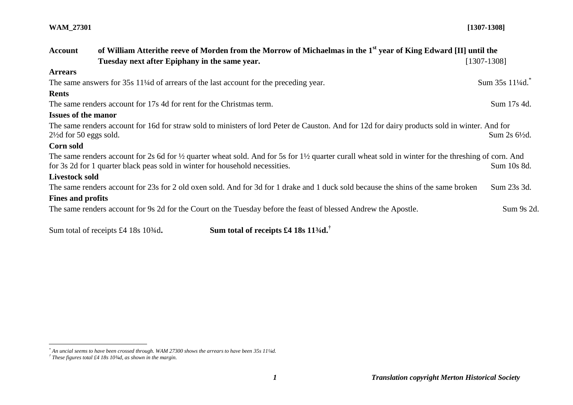#### **WAM\_27301 [1307-1308]**

| <b>Account</b>                     | of William Atterithe reeve of Morden from the Morrow of Michaelmas in the 1 <sup>st</sup> year of King Edward [II] until the                                                                                                                                             |               |  |
|------------------------------------|--------------------------------------------------------------------------------------------------------------------------------------------------------------------------------------------------------------------------------------------------------------------------|---------------|--|
|                                    | Tuesday next after Epiphany in the same year.                                                                                                                                                                                                                            | [1307-1308]   |  |
| <b>Arrears</b>                     |                                                                                                                                                                                                                                                                          |               |  |
|                                    | The same answers for 35s 11 <sup>1</sup> /4d of arrears of the last account for the preceding year.                                                                                                                                                                      | Sum 35s 11¼d. |  |
| <b>Rents</b>                       |                                                                                                                                                                                                                                                                          |               |  |
|                                    | The same renders account for 17s 4d for rent for the Christmas term.                                                                                                                                                                                                     | Sum 17s 4d.   |  |
| <b>Issues of the manor</b>         |                                                                                                                                                                                                                                                                          |               |  |
| $2\frac{1}{2}$ d for 50 eggs sold. | The same renders account for 16d for straw sold to ministers of lord Peter de Causton. And for 12d for dairy products sold in winter. And for                                                                                                                            | Sum 2s 6½d.   |  |
| Corn sold                          |                                                                                                                                                                                                                                                                          |               |  |
|                                    | The same renders account for 2s 6d for $\frac{1}{2}$ quarter wheat sold. And for 5s for 1 <sup>1</sup> / <sub>2</sub> quarter curall wheat sold in winter for the threshing of corn. And<br>for 3s 2d for 1 quarter black peas sold in winter for household necessities. | Sum 10s 8d.   |  |
| <b>Livestock sold</b>              |                                                                                                                                                                                                                                                                          |               |  |
|                                    | The same renders account for 23s for 2 old oxen sold. And for 3d for 1 drake and 1 duck sold because the shins of the same broken                                                                                                                                        | Sum 23s 3d.   |  |
| <b>Fines and profits</b>           |                                                                                                                                                                                                                                                                          |               |  |
|                                    | The same renders account for 9s 2d for the Court on the Tuesday before the feast of blessed Andrew the Apostle.                                                                                                                                                          | Sum 9s 2d.    |  |

Sum total of receipts £4 18s 10<sup>3</sup>/<sub>4</sub>d. Sum total of receipts £4 18s 11<sup>3</sup>/<sub>4</sub>d.<sup>†</sup>

*\* An uncial seems to have been crossed through. WAM 27300 shows the arrears to have been 35s 11¼d.*

 $\overline{a}$ 

*<sup>†</sup> These figures total £4 18s 10¾d, as shown in the margin.*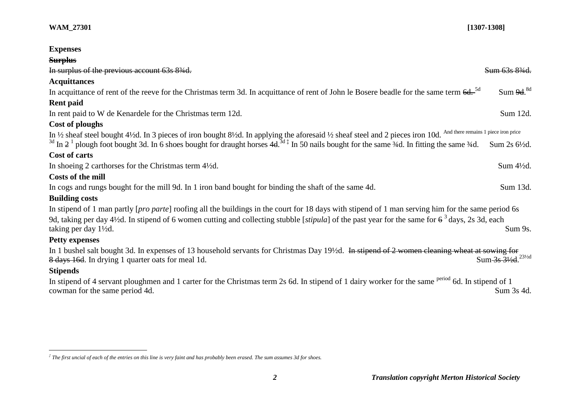| <b>Expenses</b>                                                                                                                                                              |                       |
|------------------------------------------------------------------------------------------------------------------------------------------------------------------------------|-----------------------|
| <b>Surplus</b>                                                                                                                                                               |                       |
| In surplus of the previous account 63s 83/4d.                                                                                                                                | Sum 63s 83/4d.        |
| <b>Acquittances</b>                                                                                                                                                          |                       |
| In acquittance of rent of the reeve for the Christmas term 3d. In acquittance of rent of John le Bosere beadle for the same term 6d. <sup>5d</sup>                           | Sum 9d. <sup>8d</sup> |
| <b>Rent paid</b>                                                                                                                                                             |                       |
| In rent paid to W de Kenardele for the Christmas term 12d.                                                                                                                   | Sum 12d.              |
| Cost of ploughs                                                                                                                                                              |                       |
| In $\frac{1}{2}$ sheaf steel bought 4½d. In 3 pieces of iron bought 8½d. In applying the aforesaid ½ sheaf steel and 2 pieces iron 10d. And there remains 1 piece iron price |                       |
| <sup>3d</sup> In $2^1$ plough foot bought 3d. In 6 shoes bought for draught horses $4d^{3d}$ In 50 nails bought for the same 3/4d. In fitting the same 3/4d.                 | Sum 2s 6½d.           |
| Cost of carts                                                                                                                                                                |                       |
| In shoeing 2 carthorses for the Christmas term 4½d.                                                                                                                          | Sum 4½d.              |
| Costs of the mill                                                                                                                                                            |                       |
| In cogs and rungs bought for the mill 9d. In 1 iron band bought for binding the shaft of the same 4d.                                                                        | Sum 13d.              |
| <b>Building costs</b>                                                                                                                                                        |                       |
| In stipend of 1 man partly [pro parte] roofing all the buildings in the court for 18 days with stipend of 1 man serving him for the same period 6s                           |                       |
| 9d, taking per day 4½d. In stipend of 6 women cutting and collecting stubble [stipula] of the past year for the same for $6^3$ days, 2s 3d, each                             |                       |
| taking per day 1½d.                                                                                                                                                          | Sum 9s.               |
| <b>Petty expenses</b>                                                                                                                                                        |                       |
| In 1 bushel salt bought 3d. In expenses of 13 household servants for Christmas Day 19½d. In stipend of 2 women cleaning wheat at sowing for                                  |                       |
| 8 days 16d. In drying 1 quarter oats for meal 1d.                                                                                                                            | Sum 3s 31/2d 231/2d   |
| <b>Stipends</b>                                                                                                                                                              |                       |
| In stipend of 4 servant ploughmen and 1 carter for the Christmas term 2s 6d. In stipend of 1 dairy worker for the same <sup>period</sup> 6d. In stipend of 1                 |                       |
| cowman for the same period 4d.                                                                                                                                               | Sum 3s 4d.            |

 *‡ The first uncial of each of the entries on this line is very faint and has probably been erased. The sum assumes 3d for shoes.*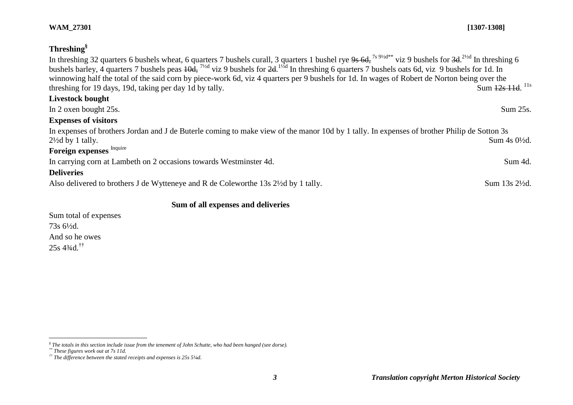| Threshing <sup>§</sup>                                                                                                                                                                                                                                                                                                                                                                                                                                                                                                                                                              |                                   |
|-------------------------------------------------------------------------------------------------------------------------------------------------------------------------------------------------------------------------------------------------------------------------------------------------------------------------------------------------------------------------------------------------------------------------------------------------------------------------------------------------------------------------------------------------------------------------------------|-----------------------------------|
| In threshing 32 quarters 6 bushels wheat, 6 quarters 7 bushels curall, 3 quarters 1 bushel rye $9s$ 6d, <sup>7s 91/2d**</sup> viz 9 bushels for $3d$ . $^{21/d}$ In threshing 6<br>bushels barley, 4 quarters 7 bushels peas $\overline{4}$ , $\overline{7}$ viz 9 bushels for $2d$ . $\overline{4}$ In threshing 6 quarters 7 bushels oats 6d, viz 9 bushels for 1d. In<br>winnowing half the total of the said corn by piece-work 6d, viz 4 quarters per 9 bushels for 1d. In wages of Robert de Norton being over the<br>threshing for 19 days, 19d, taking per day 1d by tally. | Sum $\frac{12s}{11d}$ $^{11s}$    |
| <b>Livestock bought</b>                                                                                                                                                                                                                                                                                                                                                                                                                                                                                                                                                             |                                   |
| In 2 oxen bought 25s.                                                                                                                                                                                                                                                                                                                                                                                                                                                                                                                                                               | Sum 25s.                          |
| <b>Expenses of visitors</b>                                                                                                                                                                                                                                                                                                                                                                                                                                                                                                                                                         |                                   |
| In expenses of brothers Jordan and J de Buterle coming to make view of the manor 10d by 1 tally. In expenses of brother Philip de Sotton 3s<br>$2\frac{1}{2}$ d by 1 tally.                                                                                                                                                                                                                                                                                                                                                                                                         | Sum $4s \frac{0\frac{1}{2}}{d}$ . |
| Foreign expenses Inquire                                                                                                                                                                                                                                                                                                                                                                                                                                                                                                                                                            |                                   |
| In carrying corn at Lambeth on 2 occasions towards Westminster 4d.                                                                                                                                                                                                                                                                                                                                                                                                                                                                                                                  | Sum 4d.                           |
| <b>Deliveries</b>                                                                                                                                                                                                                                                                                                                                                                                                                                                                                                                                                                   |                                   |
| Also delivered to brothers J de Wytteneye and R de Coleworthe 13s 2½ d by 1 tally.                                                                                                                                                                                                                                                                                                                                                                                                                                                                                                  | Sum 13s 2½d.                      |
| Sum of all expenses and deliveries                                                                                                                                                                                                                                                                                                                                                                                                                                                                                                                                                  |                                   |

Sum total of expenses 73s 6½d. And so he owes 25s 4¾d.††

# **WAM\_27301 [1307-1308]**

 *§ The totals in this section include issue from the tenement of John Schutte, who had been hanged (see dorse).*

*<sup>\*\*</sup> These figures work out at 7s 11d.*

*<sup>††</sup> The difference between the stated receipts and expenses is 25s 5¼d.*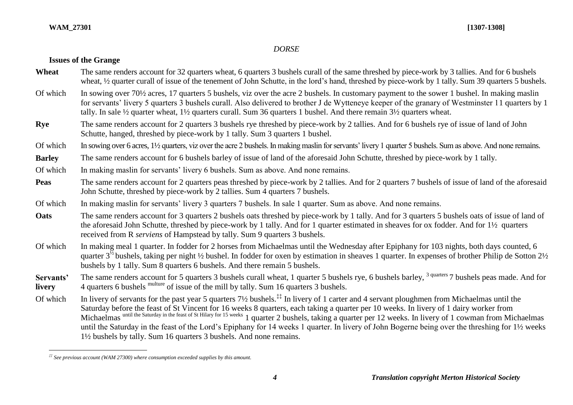#### **WAM\_27301 [1307-1308]**

 $\overline{a}$ 

## *DORSE*

Wheat The same renders account for 32 quarters wheat, 6 quarters 3 bushels curall of the same threshed by piece-work by 3 tallies. And for 6 bushels

## **Issues of the Grange**

|                     | wheat, 1/2 quarter curall of issue of the tenement of John Schutte, in the lord's hand, threshed by piece-work by 1 tally. Sum 39 quarters 5 bushels.                                                                                                                                                                                                                                                                                                                              |
|---------------------|------------------------------------------------------------------------------------------------------------------------------------------------------------------------------------------------------------------------------------------------------------------------------------------------------------------------------------------------------------------------------------------------------------------------------------------------------------------------------------|
| Of which            | In sowing over 70 <sup>1</sup> / <sub>2</sub> acres, 17 quarters 5 bushels, viz over the acre 2 bushels. In customary payment to the sower 1 bushel. In making maslin<br>for servants' livery 5 quarters 3 bushels curall. Also delivered to brother J de Wytteneye keeper of the granary of Westminster 11 quarters by 1<br>tally. In sale $\frac{1}{2}$ quarter wheat, $1\frac{1}{2}$ quarters curall. Sum 36 quarters 1 bushel. And there remain $3\frac{1}{2}$ quarters wheat. |
| Rye                 | The same renders account for 2 quarters 3 bushels rye threshed by piece-work by 2 tallies. And for 6 bushels rye of issue of land of John<br>Schutte, hanged, threshed by piece-work by 1 tally. Sum 3 quarters 1 bushel.                                                                                                                                                                                                                                                          |
| Of which            | In sowing over 6 acres, 1 <sup>1</sup> / <sub>2</sub> quarters, viz over the acre 2 bushels. In making maslin for servants' livery 1 quarter 5 bushels. Sum as above. And none remains.                                                                                                                                                                                                                                                                                            |
| <b>Barley</b>       | The same renders account for 6 bushels barley of issue of land of the aforesaid John Schutte, threshed by piece-work by 1 tally.                                                                                                                                                                                                                                                                                                                                                   |
| Of which            | In making maslin for servants' livery 6 bushels. Sum as above. And none remains.                                                                                                                                                                                                                                                                                                                                                                                                   |
| <b>Peas</b>         | The same renders account for 2 quarters peas threshed by piece-work by 2 tallies. And for 2 quarters 7 bushels of issue of land of the aforesaid<br>John Schutte, threshed by piece-work by 2 tallies. Sum 4 quarters 7 bushels.                                                                                                                                                                                                                                                   |
| Of which            | In making maslin for servants' livery 3 quarters 7 bushels. In sale 1 quarter. Sum as above. And none remains.                                                                                                                                                                                                                                                                                                                                                                     |
| Oats                | The same renders account for 3 quarters 2 bushels oats threshed by piece-work by 1 tally. And for 3 quarters 5 bushels oats of issue of land of<br>the aforesaid John Schutte, threshed by piece-work by 1 tally. And for 1 quarter estimated in sheaves for ox fodder. And for 1 <sup>1</sup> / <sub>2</sub> quarters<br>received from R serviens of Hampstead by tally. Sum 9 quarters 3 bushels.                                                                                |
| Of which            | In making meal 1 quarter. In fodder for 2 horses from Michaelmas until the Wednesday after Epiphany for 103 nights, both days counted, 6<br>quarter $3^{\prime\prime}$ bushels, taking per night $\frac{1}{2}$ bushel. In fodder for oxen by estimation in sheaves 1 quarter. In expenses of brother Philip de Sotton 2 $\frac{1}{2}$<br>bushels by 1 tally. Sum 8 quarters 6 bushels. And there remain 5 bushels.                                                                 |
| Servants'<br>livery | The same renders account for 5 quarters 3 bushels curall wheat, 1 quarter 5 bushels rye, 6 bushels barley, <sup>3 quarters</sup> 7 bushels peas made. And for<br>4 quarters 6 bushels multure of issue of the mill by tally. Sum 16 quarters 3 bushels.                                                                                                                                                                                                                            |
| $\bigcap$ f which   | In livear of convente for the next year 5 quarters 71/ bushels <sup>11</sup> In livear of 1 center and 4 conventing porchange from Michaelmas watil the                                                                                                                                                                                                                                                                                                                            |

Of which In livery of servants for the past year 5 quarters 7½ bushels.<sup>\*\*</sup> In livery of 1 carter and 4 servant ploughmen from Michaelmas until the Saturday before the feast of St Vincent for 16 weeks 8 quarters, each taking a quarter per 10 weeks. In livery of 1 dairy worker from Michaelmas until the Saturday in the feast of St Hilary for 15 weeks 1 quarter 2 bushels, taking a quarter per 12 weeks. In livery of 1 cowman from Michaelmas until the Saturday in the feast of the Lord's Epiphany for 14 weeks 1 quarter. In livery of John Bogerne being over the threshing for 1½ weeks 1½ bushels by tally. Sum 16 quarters 3 bushels. And none remains.

*<sup>‡‡</sup> See previous account (WAM 27300) where consumption exceeded supplies by this amount.*